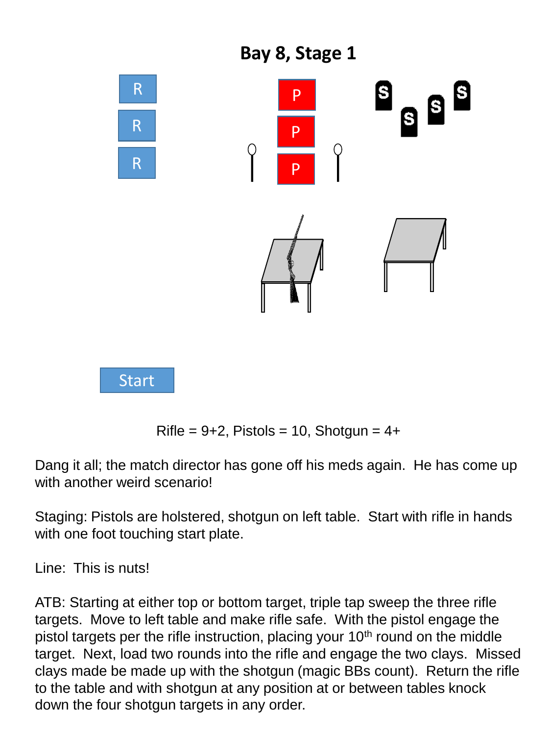

 $Rifle = 9+2$ , Pistols = 10, Shotgun = 4+

Dang it all; the match director has gone off his meds again. He has come up with another weird scenario!

Staging: Pistols are holstered, shotgun on left table. Start with rifle in hands with one foot touching start plate.

Line: This is nuts!

ATB: Starting at either top or bottom target, triple tap sweep the three rifle targets. Move to left table and make rifle safe. With the pistol engage the pistol targets per the rifle instruction, placing your  $10<sup>th</sup>$  round on the middle target. Next, load two rounds into the rifle and engage the two clays. Missed clays made be made up with the shotgun (magic BBs count). Return the rifle to the table and with shotgun at any position at or between tables knock down the four shotgun targets in any order.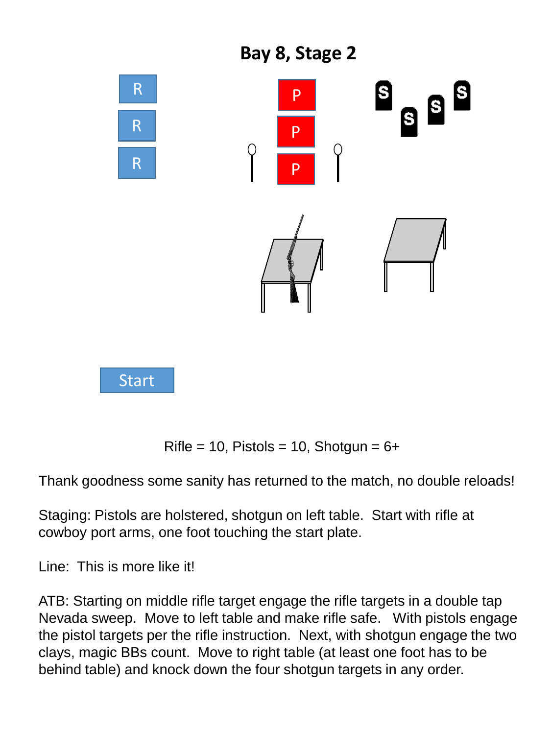

 $Rifle = 10$ , Pistols = 10, Shotgun =  $6+$ 

Thank goodness some sanity has returned to the match, no double reloads!

Staging: Pistols are holstered, shotgun on left table. Start with rifle at cowboy port arms, one foot touching the start plate.

Line: This is more like it!

ATB: Starting on middle rifle target engage the rifle targets in a double tap Nevada sweep. Move to left table and make rifle safe. With pistols engage the pistol targets per the rifle instruction. Next, with shotgun engage the two clays, magic BBs count. Move to right table (at least one foot has to be behind table) and knock down the four shotgun targets in any order.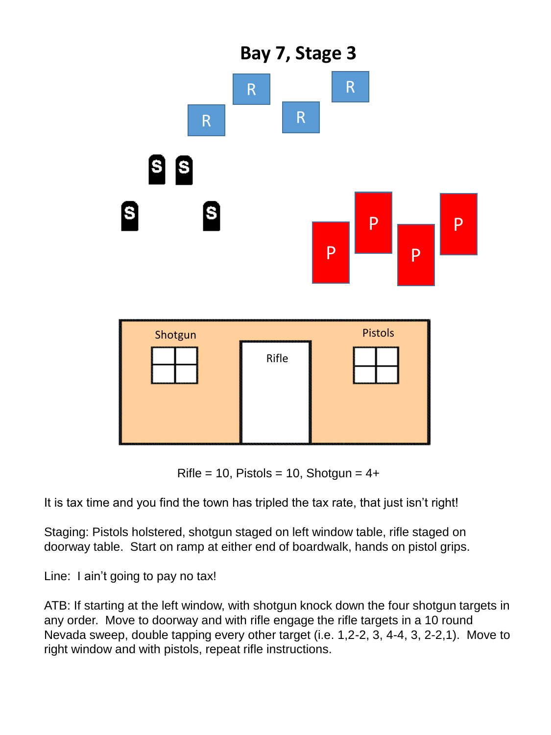

 $Rifle = 10$ , Pistols = 10, Shotgun =  $4+$ 

It is tax time and you find the town has tripled the tax rate, that just isn't right!

Staging: Pistols holstered, shotgun staged on left window table, rifle staged on doorway table. Start on ramp at either end of boardwalk, hands on pistol grips.

Line: I ain't going to pay no tax!

ATB: If starting at the left window, with shotgun knock down the four shotgun targets in any order. Move to doorway and with rifle engage the rifle targets in a 10 round Nevada sweep, double tapping every other target (i.e. 1,2-2, 3, 4-4, 3, 2-2,1). Move to right window and with pistols, repeat rifle instructions.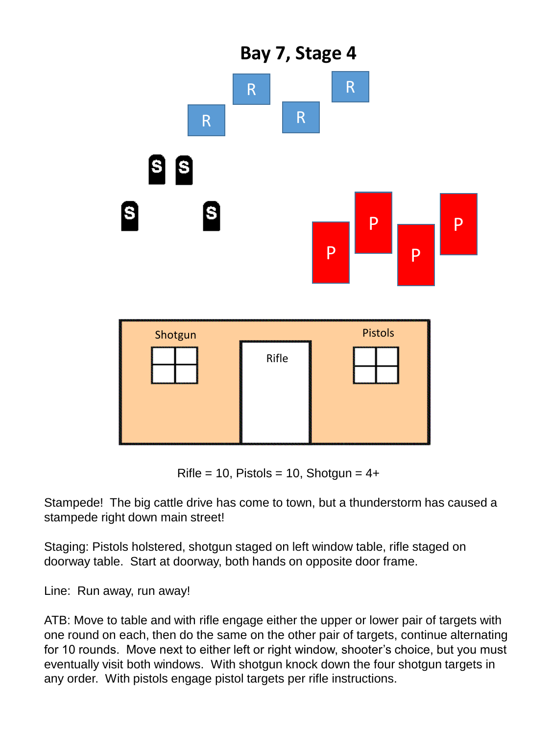

 $Rifle = 10$ , Pistols = 10, Shotgun =  $4+$ 

Stampede! The big cattle drive has come to town, but a thunderstorm has caused a stampede right down main street!

Staging: Pistols holstered, shotgun staged on left window table, rifle staged on doorway table. Start at doorway, both hands on opposite door frame.

Line: Run away, run away!

ATB: Move to table and with rifle engage either the upper or lower pair of targets with one round on each, then do the same on the other pair of targets, continue alternating for 10 rounds. Move next to either left or right window, shooter's choice, but you must eventually visit both windows. With shotgun knock down the four shotgun targets in any order. With pistols engage pistol targets per rifle instructions.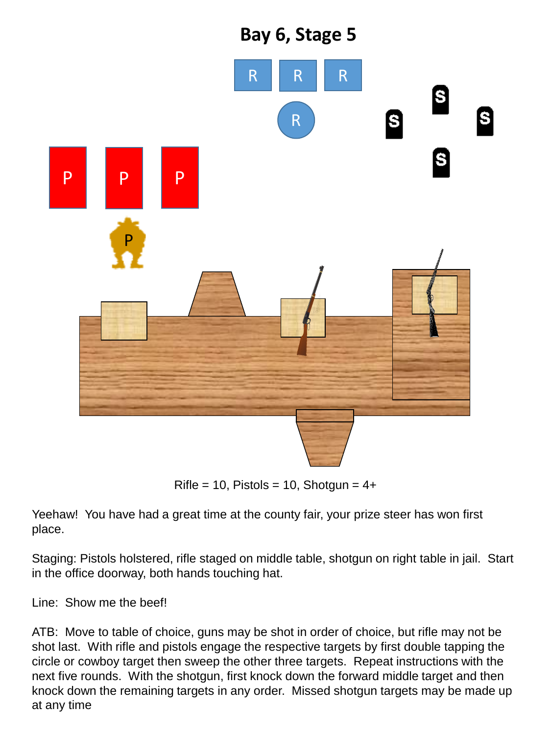

 $Rifle = 10$ , Pistols = 10, Shotgun =  $4+$ 

Yeehaw! You have had a great time at the county fair, your prize steer has won first place.

Staging: Pistols holstered, rifle staged on middle table, shotgun on right table in jail. Start in the office doorway, both hands touching hat.

Line: Show me the beef!

ATB: Move to table of choice, guns may be shot in order of choice, but rifle may not be shot last. With rifle and pistols engage the respective targets by first double tapping the circle or cowboy target then sweep the other three targets. Repeat instructions with the next five rounds. With the shotgun, first knock down the forward middle target and then knock down the remaining targets in any order. Missed shotgun targets may be made up at any time